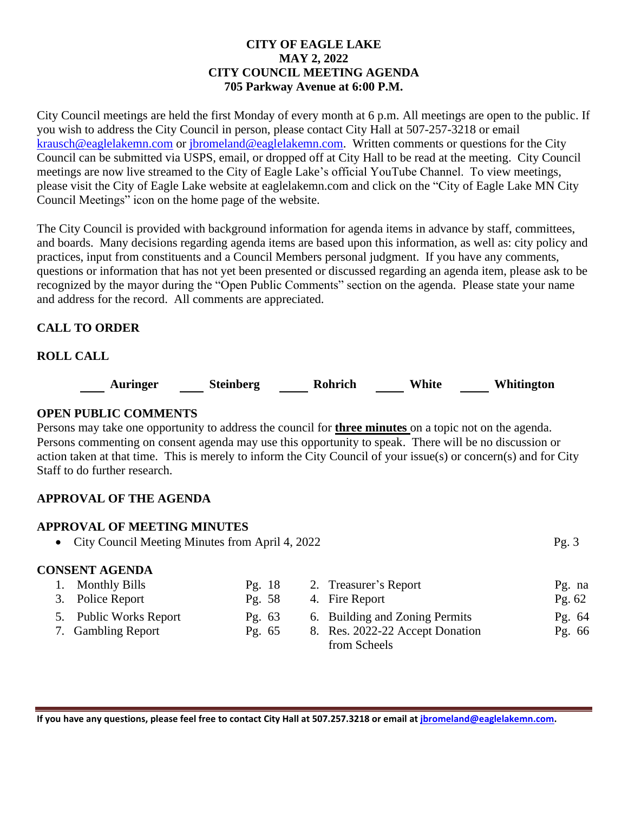## **CITY OF EAGLE LAKE MAY 2, 2022 CITY COUNCIL MEETING AGENDA 705 Parkway Avenue at 6:00 P.M.**

City Council meetings are held the first Monday of every month at 6 p.m. All meetings are open to the public. If you wish to address the City Council in person, please contact City Hall at 507-257-3218 or email [krausch@eaglelakemn.com](mailto:krausch@eaglelakemn.com) or [jbromeland@eaglelakemn.com.](mailto:jbromeland@eaglelakemn.com) Written comments or questions for the City Council can be submitted via USPS, email, or dropped off at City Hall to be read at the meeting. City Council meetings are now live streamed to the City of Eagle Lake's official YouTube Channel. To view meetings, please visit the City of Eagle Lake website at eaglelakemn.com and click on the "City of Eagle Lake MN City Council Meetings" icon on the home page of the website.

The City Council is provided with background information for agenda items in advance by staff, committees, and boards. Many decisions regarding agenda items are based upon this information, as well as: city policy and practices, input from constituents and a Council Members personal judgment. If you have any comments, questions or information that has not yet been presented or discussed regarding an agenda item, please ask to be recognized by the mayor during the "Open Public Comments" section on the agenda. Please state your name and address for the record. All comments are appreciated.

# **CALL TO ORDER**

## **ROLL CALL**

**Auringer Steinberg Rohrich White Whitington**

#### **OPEN PUBLIC COMMENTS**

Persons may take one opportunity to address the council for **three minutes** on a topic not on the agenda. Persons commenting on consent agenda may use this opportunity to speak. There will be no discussion or action taken at that time. This is merely to inform the City Council of your issue(s) or concern(s) and for City Staff to do further research.

## **APPROVAL OF THE AGENDA**

### **APPROVAL OF MEETING MINUTES**

• City Council Meeting Minutes from April 4, 2022 Pg. 3

## **CONSENT AGENDA**

| 1. Monthly Bills       | Pg. $18$ | 2. Treasurer's Report           | $Pg.$ na |
|------------------------|----------|---------------------------------|----------|
| 3. Police Report       | Pg. 58   | 4. Fire Report                  | Pg. $62$ |
| 5. Public Works Report | Pg. $63$ | 6. Building and Zoning Permits  | Pg. 64   |
| 7. Gambling Report     | Pg. $65$ | 8. Res. 2022-22 Accept Donation | Pg. 66   |
|                        |          | from Scheels                    |          |

**If you have any questions, please feel free to contact City Hall at 507.257.3218 or email at [jbromeland@eaglelakemn.com.](mailto:jbromeland@eaglelakemn.com)**